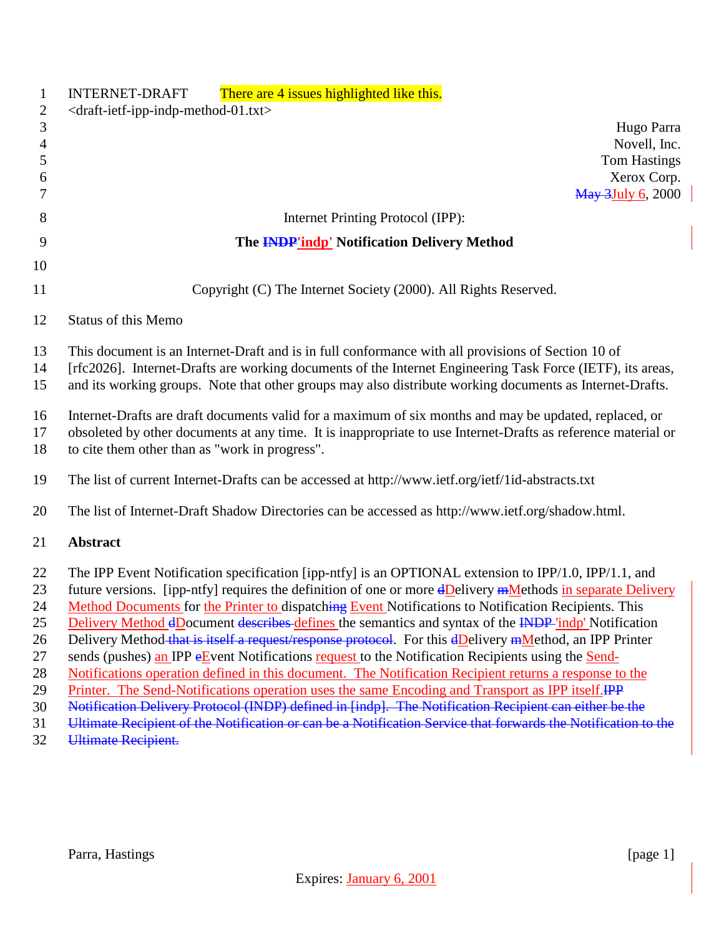| $\mathbf{1}$<br>$\mathfrak{2}$ | There are 4 issues highlighted like this.<br><b>INTERNET-DRAFT</b><br><draft-ietf-ipp-indp-method-01.txt></draft-ietf-ipp-indp-method-01.txt>                                                                    |
|--------------------------------|------------------------------------------------------------------------------------------------------------------------------------------------------------------------------------------------------------------|
| $\mathfrak{Z}$                 | Hugo Parra                                                                                                                                                                                                       |
| $\overline{4}$                 | Novell, Inc.                                                                                                                                                                                                     |
| 5                              | <b>Tom Hastings</b>                                                                                                                                                                                              |
| 6                              | Xerox Corp.                                                                                                                                                                                                      |
| 7                              | <b>May 3July 6, 2000</b>                                                                                                                                                                                         |
| 8                              | Internet Printing Protocol (IPP):                                                                                                                                                                                |
|                                |                                                                                                                                                                                                                  |
| 9                              | The <b>INDP'indp'</b> Notification Delivery Method                                                                                                                                                               |
| 10                             |                                                                                                                                                                                                                  |
| 11                             | Copyright (C) The Internet Society (2000). All Rights Reserved.                                                                                                                                                  |
| 12                             | <b>Status of this Memo</b>                                                                                                                                                                                       |
| 13                             |                                                                                                                                                                                                                  |
| 14                             | This document is an Internet-Draft and is in full conformance with all provisions of Section 10 of<br>[rfc2026]. Internet-Drafts are working documents of the Internet Engineering Task Force (IETF), its areas, |
| 15                             |                                                                                                                                                                                                                  |
|                                | and its working groups. Note that other groups may also distribute working documents as Internet-Drafts.                                                                                                         |
| 16                             | Internet-Drafts are draft documents valid for a maximum of six months and may be updated, replaced, or                                                                                                           |
| 17                             | obsoleted by other documents at any time. It is inappropriate to use Internet-Drafts as reference material or                                                                                                    |
| 18                             | to cite them other than as "work in progress".                                                                                                                                                                   |
|                                |                                                                                                                                                                                                                  |
| 19                             | The list of current Internet-Drafts can be accessed at http://www.ietf.org/ietf/1id-abstracts.txt                                                                                                                |
| 20                             | The list of Internet-Draft Shadow Directories can be accessed as http://www.ietf.org/shadow.html.                                                                                                                |
|                                |                                                                                                                                                                                                                  |
| 21                             | <b>Abstract</b>                                                                                                                                                                                                  |
| 22                             | The IPP Event Notification specification [ipp-ntfy] is an OPTIONAL extension to IPP/1.0, IPP/1.1, and                                                                                                            |
| 23                             | future versions. [ipp-ntfy] requires the definition of one or more dDelivery mMethods in separate Delivery                                                                                                       |
| 24                             | Method Documents for the Printer to dispatching Event Notifications to Notification Recipients. This                                                                                                             |
| 25                             | Delivery Method dDocument describes defines the semantics and syntax of the INDP 'indp' Notification                                                                                                             |
| 26                             | Delivery Method that is itself a request/response protocol. For this dDelivery mMethod, an IPP Printer                                                                                                           |
| 27                             | sends (pushes) an IPP eEvent Notifications request to the Notification Recipients using the Send-                                                                                                                |
| 28                             | Notifications operation defined in this document. The Notification Recipient returns a response to the                                                                                                           |
| 29                             | Printer. The Send-Notifications operation uses the same Encoding and Transport as IPP itself.IPP                                                                                                                 |
| 30                             | Notification Delivery Protocol (INDP) defined in [indp]. The Notification Recipient can either be the                                                                                                            |
| 31                             | Ultimate Recipient of the Notification or can be a Notification Service that forwards the Notification to the                                                                                                    |

Ultimate Recipient.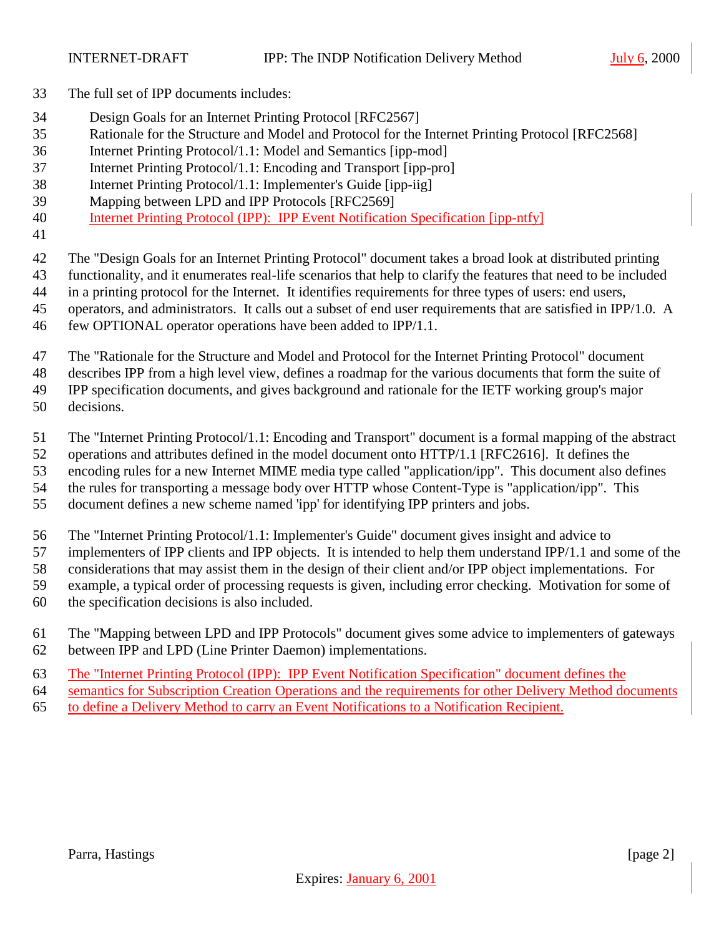- The full set of IPP documents includes:
- Design Goals for an Internet Printing Protocol [RFC2567]
- Rationale for the Structure and Model and Protocol for the Internet Printing Protocol [RFC2568]
- Internet Printing Protocol/1.1: Model and Semantics [ipp-mod]
- Internet Printing Protocol/1.1: Encoding and Transport [ipp-pro]
- Internet Printing Protocol/1.1: Implementer's Guide [ipp-iig]
- Mapping between LPD and IPP Protocols [RFC2569]
- Internet Printing Protocol (IPP): IPP Event Notification Specification [ipp-ntfy]
- 

The "Design Goals for an Internet Printing Protocol" document takes a broad look at distributed printing

functionality, and it enumerates real-life scenarios that help to clarify the features that need to be included

- in a printing protocol for the Internet. It identifies requirements for three types of users: end users,
- operators, and administrators. It calls out a subset of end user requirements that are satisfied in IPP/1.0. A
- few OPTIONAL operator operations have been added to IPP/1.1.

The "Rationale for the Structure and Model and Protocol for the Internet Printing Protocol" document

describes IPP from a high level view, defines a roadmap for the various documents that form the suite of

IPP specification documents, and gives background and rationale for the IETF working group's major

decisions.

The "Internet Printing Protocol/1.1: Encoding and Transport" document is a formal mapping of the abstract

operations and attributes defined in the model document onto HTTP/1.1 [RFC2616]. It defines the

encoding rules for a new Internet MIME media type called "application/ipp". This document also defines

the rules for transporting a message body over HTTP whose Content-Type is "application/ipp". This

document defines a new scheme named 'ipp' for identifying IPP printers and jobs.

The "Internet Printing Protocol/1.1: Implementer's Guide" document gives insight and advice to

implementers of IPP clients and IPP objects. It is intended to help them understand IPP/1.1 and some of the

considerations that may assist them in the design of their client and/or IPP object implementations. For

- example, a typical order of processing requests is given, including error checking. Motivation for some of
- the specification decisions is also included.
- The "Mapping between LPD and IPP Protocols" document gives some advice to implementers of gateways between IPP and LPD (Line Printer Daemon) implementations.
- The "Internet Printing Protocol (IPP): IPP Event Notification Specification" document defines the

semantics for Subscription Creation Operations and the requirements for other Delivery Method documents

to define a Delivery Method to carry an Event Notifications to a Notification Recipient.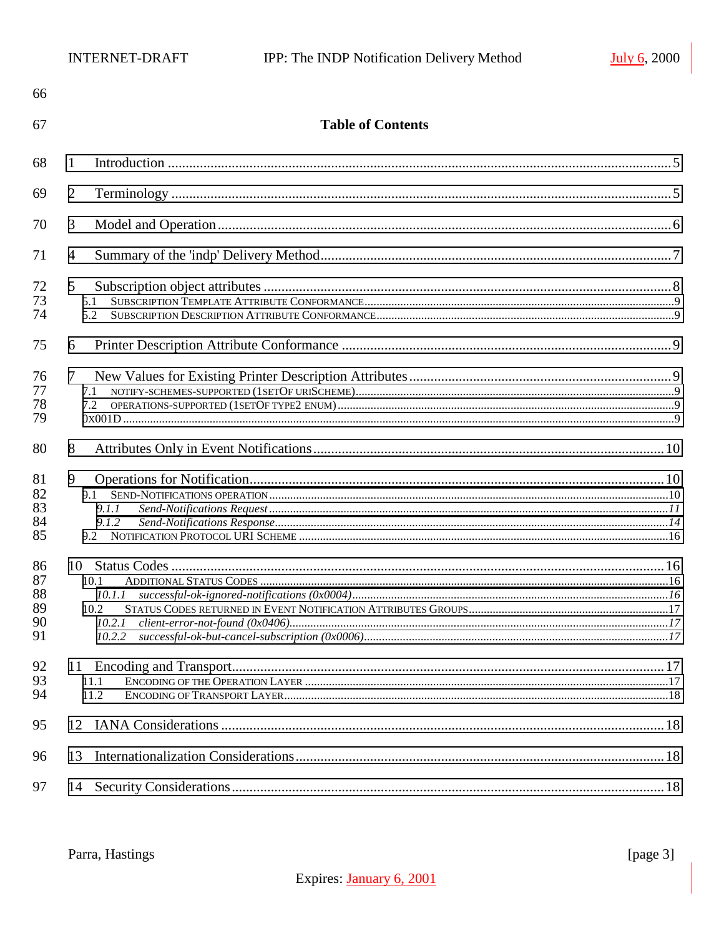| 66                               |                                            |  |
|----------------------------------|--------------------------------------------|--|
| 67                               | <b>Table of Contents</b>                   |  |
| 68                               | 1                                          |  |
| 69                               | $\overline{2}$                             |  |
| 70                               | 3                                          |  |
| 71                               | 4                                          |  |
| 72<br>73<br>74                   | $5\overline{)}$<br>5.1<br>5.2              |  |
| 75                               | 6                                          |  |
| 76<br>77<br>78<br>79             | $\tau$<br>7.2                              |  |
| 80                               | 8                                          |  |
| 81<br>82<br>83<br>84<br>85       | 9<br>9.1<br>9.1.1<br>9.1.2                 |  |
| 86<br>87<br>88<br>89<br>90<br>91 | 10.1<br>10.1.1<br>10.2<br>10.2.1<br>10.2.2 |  |
| 92<br>93<br>94                   | 11.1<br>11.2                               |  |
| 95                               | 12                                         |  |
| 96                               | 13                                         |  |
| 97                               | 14                                         |  |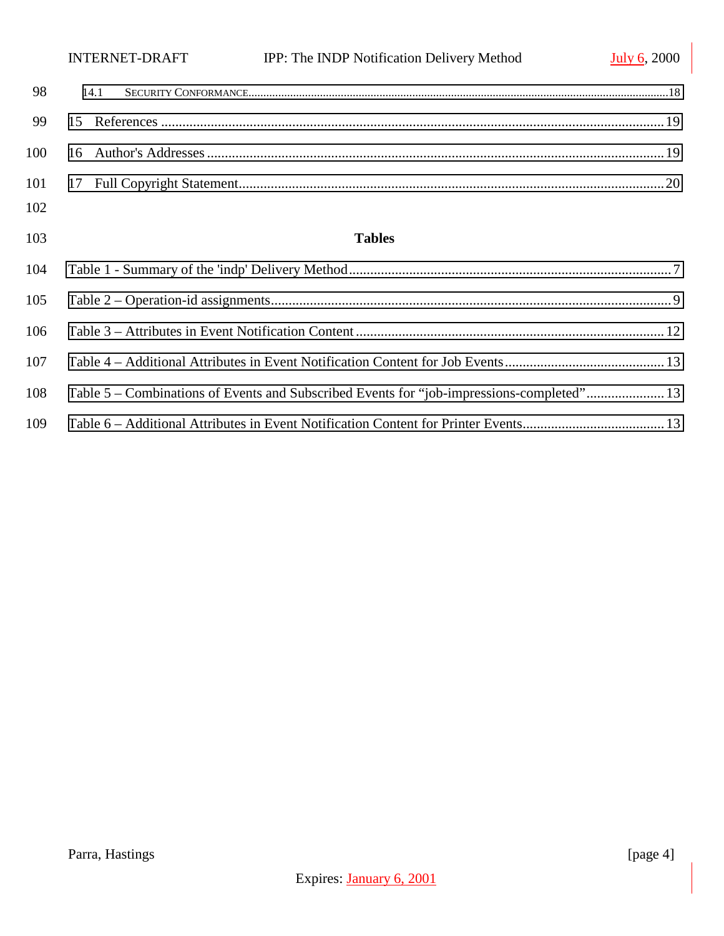|     | <b>INTERNET-DRAFT</b> | IPP: The INDP Notification Delivery Method | <b>July 6, 2000</b> |
|-----|-----------------------|--------------------------------------------|---------------------|
| 98  | 14.1                  |                                            |                     |
| 99  |                       |                                            |                     |
| 100 |                       |                                            |                     |
|     |                       |                                            |                     |
| 102 |                       |                                            |                     |

# **Tables**

| 106 |                                                                                          |  |
|-----|------------------------------------------------------------------------------------------|--|
| 107 |                                                                                          |  |
| 108 | Table 5 – Combinations of Events and Subscribed Events for "job-impressions-completed"13 |  |
| 109 |                                                                                          |  |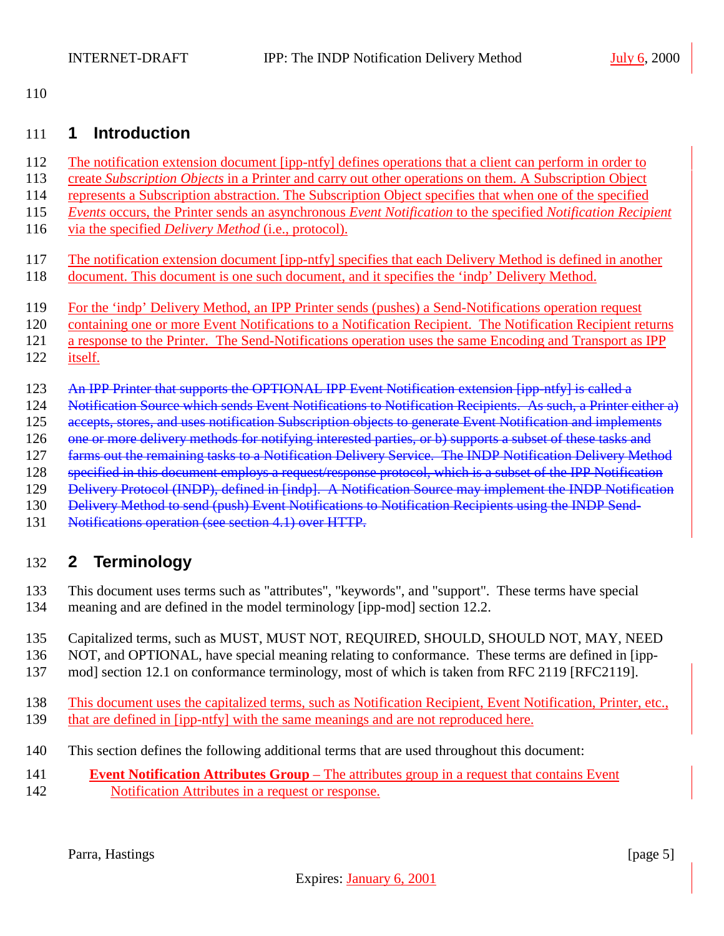<span id="page-4-0"></span>

## **1 Introduction**

- 112 The notification extension document [ipp-ntfy] defines operations that a client can perform in order to
- create *Subscription Objects* in a Printer and carry out other operations on them. A Subscription Object
- represents a Subscription abstraction. The Subscription Object specifies that when one of the specified
- *Events* occurs, the Printer sends an asynchronous *Event Notification* to the specified *Notification Recipient*
- via the specified *Delivery Method* (i.e., protocol).
- The notification extension document [ipp-ntfy] specifies that each Delivery Method is defined in another
- document. This document is one such document, and it specifies the 'indp' Delivery Method.
- For the 'indp' Delivery Method, an IPP Printer sends (pushes) a Send-Notifications operation request
- 120 containing one or more Event Notifications to a Notification Recipient. The Notification Recipient returns
- a response to the Printer. The Send-Notifications operation uses the same Encoding and Transport as IPP
- itself.
- 123 An IPP Printer that supports the OPTIONAL IPP Event Notification extension [ipp-ntfy] is called a
- Notification Source which sends Event Notifications to Notification Recipients. As such, a Printer either a)
- 125 accepts, stores, and uses notification Subscription objects to generate Event Notification and implements
- 126 one or more delivery methods for notifying interested parties, or b) supports a subset of these tasks and
- 127 farms out the remaining tasks to a Notification Delivery Service. The INDP Notification Delivery Method
- 128 specified in this document employs a request/response protocol, which is a subset of the IPP Notification Delivery Protocol (INDP), defined in [indp]. A Notification Source may implement the INDP Notification
- 
- 130 Delivery Method to send (push) Event Notifications to Notification Recipients using the INDP Send-
- 131 Notifications operation (see section 4.1) over HTTP.

# **2 Terminology**

- This document uses terms such as "attributes", "keywords", and "support". These terms have special meaning and are defined in the model terminology [ipp-mod] section 12.2.
- Capitalized terms, such as MUST, MUST NOT, REQUIRED, SHOULD, SHOULD NOT, MAY, NEED
- NOT, and OPTIONAL, have special meaning relating to conformance. These terms are defined in [ipp-
- mod] section 12.1 on conformance terminology, most of which is taken from RFC 2119 [RFC2119].
- This document uses the capitalized terms, such as Notification Recipient, Event Notification, Printer, etc., 139 that are defined in [ipp-ntfy] with the same meanings and are not reproduced here.
- This section defines the following additional terms that are used throughout this document:
- **Event Notification Attributes Group**  The attributes group in a request that contains Event
- Notification Attributes in a request or response.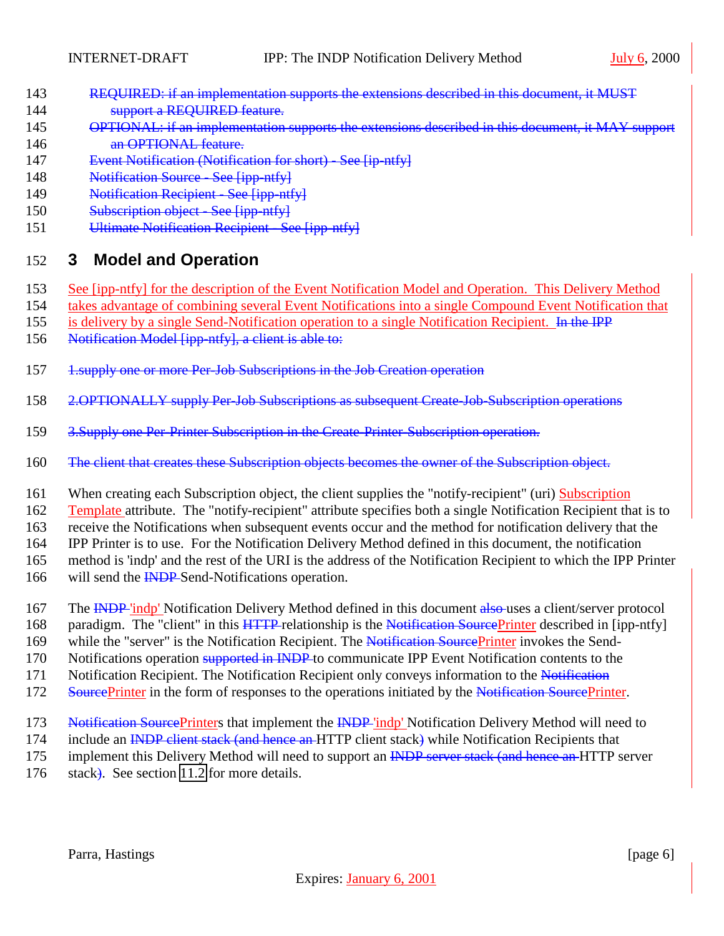- <span id="page-5-0"></span>143 REQUIRED: if an implementation supports the extensions described in this document, it MUST 144 **Support a REQUIRED feature.**
- 145 OPTIONAL: if an implementation supports the extensions described in this document, it MAY support 146 **an OPTIONAL feature.**
- 147 Event Notification (Notification for short) See [ip-ntfy]
- 148 Notification Source See [ipp-ntfy]
- 149 Notification Recipient See [ipp-ntfy]
- 150 Subscription object See [ipp-ntfy]
- 151 Ultimate Notification Recipient See [ipp-ntfy]

# 152 **3 Model and Operation**

- 153 See [ipp-ntfy] for the description of the Event Notification Model and Operation. This Delivery Method
- 154 takes advantage of combining several Event Notifications into a single Compound Event Notification that
- 155 is delivery by a single Send-Notification operation to a single Notification Recipient. In the IPP
- 156 Notification Model [ipp-ntfy], a client is able to:
- 157 1.supply one or more Per-Job Subscriptions in the Job Creation operation
- 158 2.OPTIONALLY supply Per-Job Subscriptions as subsequent Create-Job-Subscription operations
- 159 3.Supply one Per-Printer Subscription in the Create-Printer-Subscription operation.
- 160 The client that creates these Subscription objects becomes the owner of the Subscription object.
- 161 When creating each Subscription object, the client supplies the "notify-recipient" (uri) Subscription
- 162 Template attribute. The "notify-recipient" attribute specifies both a single Notification Recipient that is to
- 163 receive the Notifications when subsequent events occur and the method for notification delivery that the
- 164 IPP Printer is to use. For the Notification Delivery Method defined in this document, the notification
- 165 method is 'indp' and the rest of the URI is the address of the Notification Recipient to which the IPP Printer
- 166 will send the **INDP** Send-Notifications operation.
- 167 The INDP 'indp' Notification Delivery Method defined in this document also uses a client/server protocol
- 168 paradigm. The "client" in this HTTP-relationship is the Notification SourcePrinter described in [ipp-ntfy]
- 169 while the "server" is the Notification Recipient. The Notification SourcePrinter invokes the Send-
- 170 Notifications operation supported in INDP to communicate IPP Event Notification contents to the
- 171 Notification Recipient. The Notification Recipient only conveys information to the Notification
- 172 SourcePrinter in the form of responses to the operations initiated by the Notification SourcePrinter.
- 173 Notification SourcePrinters that implement the INDP 'indp' Notification Delivery Method will need to
- 174 include an INDP client stack (and hence an HTTP client stack) while Notification Recipients that
- 175 implement this Delivery Method will need to support an INDP server stack (and hence an HTTP server
- 176 stack). See section [11.2](#page-17-0) for more details.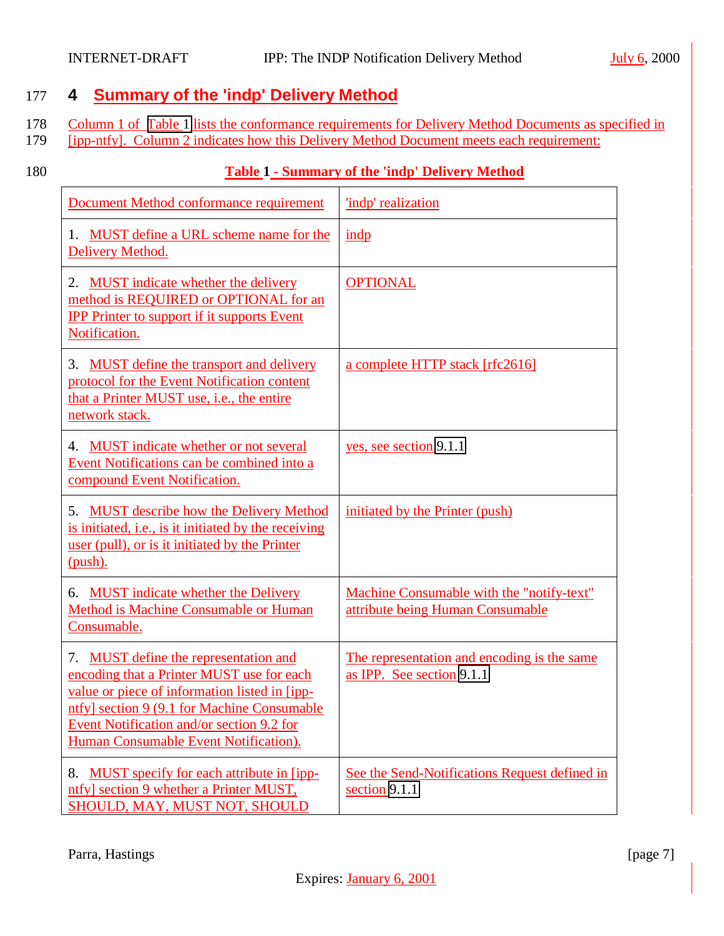# <span id="page-6-0"></span>177 **4 Summary of the 'indp' Delivery Method**

- 178 Column 1 of Table 1 lists the conformance requirements for Delivery Method Documents as specified in
- 179 [ipp-ntfy]. Column 2 indicates how this Delivery Method Document meets each requirement:

### 180 **Table 1 - Summary of the 'indp' Delivery Method**

| Document Method conformance requirement                                                                                                                                                                                                                                  | 'indp' realization                                                            |
|--------------------------------------------------------------------------------------------------------------------------------------------------------------------------------------------------------------------------------------------------------------------------|-------------------------------------------------------------------------------|
| MUST define a URL scheme name for the<br>1.<br>Delivery Method.                                                                                                                                                                                                          | indp                                                                          |
| <b>MUST</b> indicate whether the delivery<br>2.<br>method is REQUIRED or OPTIONAL for an<br><b>IPP Printer to support if it supports Event</b><br>Notification.                                                                                                          | <b>OPTIONAL</b>                                                               |
| 3. MUST define the transport and delivery<br>protocol for the Event Notification content<br>that a Printer MUST use, i.e., the entire<br>network stack.                                                                                                                  | a complete HTTP stack [rfc2616]                                               |
| MUST indicate whether or not several<br>4.<br>Event Notifications can be combined into a<br>compound Event Notification.                                                                                                                                                 | yes, see section 9.1.1                                                        |
| <b>MUST</b> describe how the Delivery Method<br>5.<br>is initiated, i.e., is it initiated by the receiving<br>user (pull), or is it initiated by the Printer<br>$(push)$ .                                                                                               | initiated by the Printer (push)                                               |
| 6. MUST indicate whether the Delivery<br>Method is Machine Consumable or Human<br>Consumable.                                                                                                                                                                            | Machine Consumable with the "notify-text"<br>attribute being Human Consumable |
| 7. MUST define the representation and<br>encoding that a Printer MUST use for each<br>value or piece of information listed in [ipp-<br>ntfy] section 9 (9.1 for Machine Consumable<br>Event Notification and/or section 9.2 for<br>Human Consumable Event Notification). | The representation and encoding is the same<br>as IPP. See section 9.1.1      |
| MUST specify for each attribute in [ipp-<br>8.<br>ntfy] section 9 whether a Printer MUST,<br>SHOULD, MAY, MUST NOT, SHOULD                                                                                                                                               | See the Send-Notifications Request defined in<br>section 9.1.1                |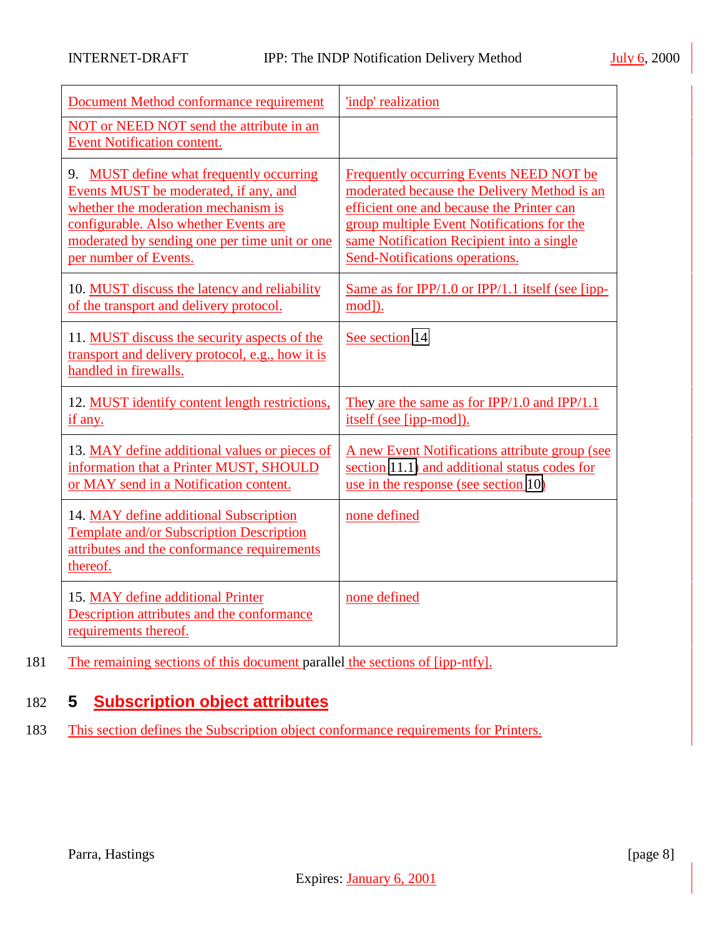<span id="page-7-0"></span>

| Document Method conformance requirement<br>NOT or NEED NOT send the attribute in an                                                                                                                                                         | 'indp' realization                                                                                                                                                                                                                                               |
|---------------------------------------------------------------------------------------------------------------------------------------------------------------------------------------------------------------------------------------------|------------------------------------------------------------------------------------------------------------------------------------------------------------------------------------------------------------------------------------------------------------------|
| Event Notification content.                                                                                                                                                                                                                 |                                                                                                                                                                                                                                                                  |
| 9. MUST define what frequently occurring<br>Events MUST be moderated, if any, and<br>whether the moderation mechanism is<br>configurable. Also whether Events are<br>moderated by sending one per time unit or one<br>per number of Events. | Frequently occurring Events NEED NOT be<br>moderated because the Delivery Method is an<br>efficient one and because the Printer can<br>group multiple Event Notifications for the<br>same Notification Recipient into a single<br>Send-Notifications operations. |
| 10. MUST discuss the latency and reliability<br>of the transport and delivery protocol.                                                                                                                                                     | Same as for IPP/1.0 or IPP/1.1 itself (see [ipp-<br>mod]).                                                                                                                                                                                                       |
| 11. MUST discuss the security aspects of the<br>transport and delivery protocol, e.g., how it is<br>handled in firewalls.                                                                                                                   | See section 14                                                                                                                                                                                                                                                   |
| 12. MUST identify content length restrictions,<br>if any.                                                                                                                                                                                   | They are the same as for IPP/1.0 and IPP/1.1<br>itself (see [ipp-mod]).                                                                                                                                                                                          |
| 13. MAY define additional values or pieces of<br>information that a Printer MUST, SHOULD<br>or MAY send in a Notification content.                                                                                                          | A new Event Notifications attribute group (see<br>section 11.1) and additional status codes for<br>use in the response (see section 10)                                                                                                                          |
| 14. MAY define additional Subscription<br>Template and/or Subscription Description<br>attributes and the conformance requirements<br>thereof.                                                                                               | none defined                                                                                                                                                                                                                                                     |
| 15. MAY define additional Printer<br>Description attributes and the conformance<br>requirements thereof.                                                                                                                                    | none defined                                                                                                                                                                                                                                                     |

181 The remaining sections of this document parallel the sections of [ipp-ntfy].

# 182 **5 Subscription object attributes**

183 This section defines the Subscription object conformance requirements for Printers.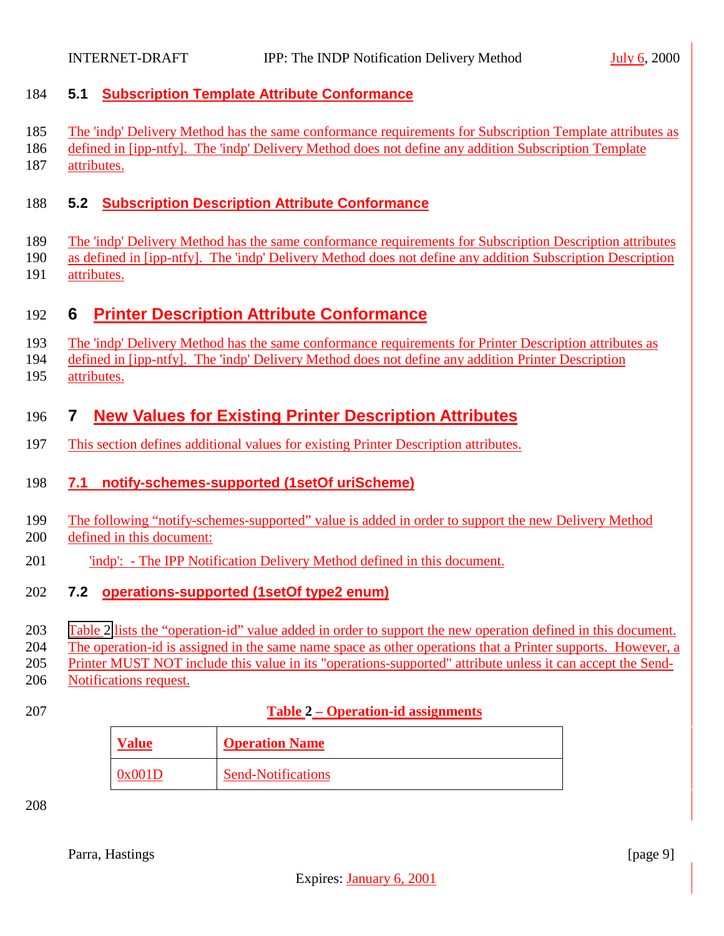#### <span id="page-8-0"></span>**5.1 Subscription Template Attribute Conformance**

- The 'indp' Delivery Method has the same conformance requirements for Subscription Template attributes as
- defined in [ipp-ntfy]. The 'indp' Delivery Method does not define any addition Subscription Template
- attributes.

#### **5.2 Subscription Description Attribute Conformance**

- The 'indp' Delivery Method has the same conformance requirements for Subscription Description attributes
- as defined in [ipp-ntfy]. The 'indp' Delivery Method does not define any addition Subscription Description
- attributes.

# **6 Printer Description Attribute Conformance**

- The 'indp' Delivery Method has the same conformance requirements for Printer Description attributes as
- defined in [ipp-ntfy]. The 'indp' Delivery Method does not define any addition Printer Description
- attributes.

# **7 New Values for Existing Printer Description Attributes**

This section defines additional values for existing Printer Description attributes.

## **7.1 notify-schemes-supported (1setOf uriScheme)**

- The following "notify-schemes-supported" value is added in order to support the new Delivery Method
- defined in this document:
- 'indp': The IPP Notification Delivery Method defined in this document.

## **7.2 operations-supported (1setOf type2 enum)**

- Table 2 lists the "operation-id" value added in order to support the new operation defined in this document.
- The operation-id is assigned in the same name space as other operations that a Printer supports. However, a

Printer MUST NOT include this value in its "operations-supported" attribute unless it can accept the Send-

- Notifications request.
- 

### **Table 2 – Operation-id assignments**

| Value  | <b>Operation Name</b>     |
|--------|---------------------------|
| 0x001D | <b>Send-Notifications</b> |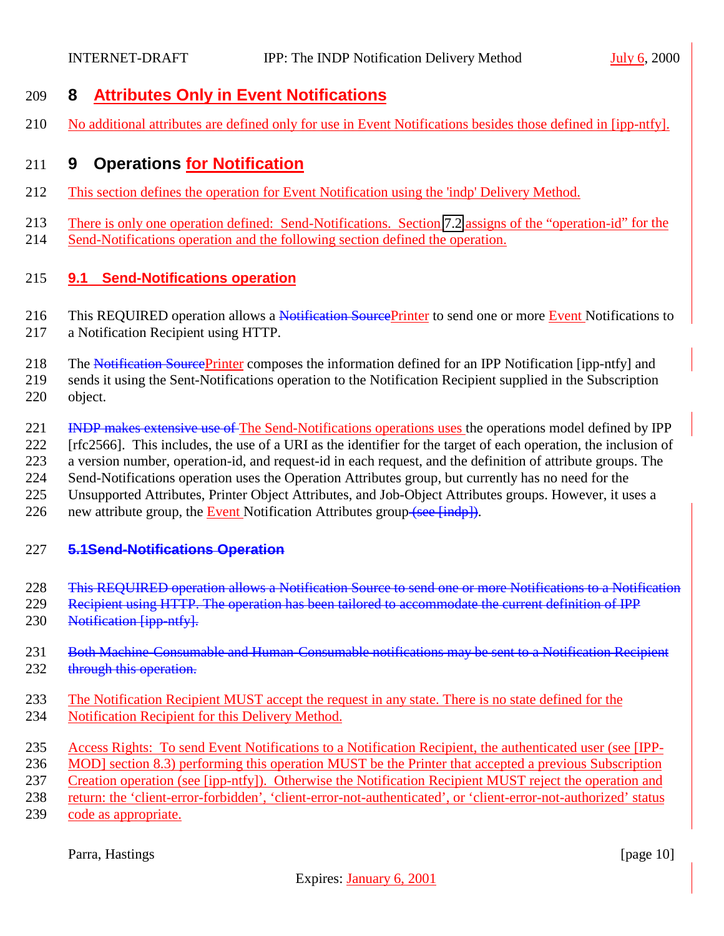# <span id="page-9-0"></span>**8 Attributes Only in Event Notifications**

No additional attributes are defined only for use in Event Notifications besides those defined in [ipp-ntfy].

# **9 Operations for Notification**

- This section defines the operation for Event Notification using the 'indp' Delivery Method.
- There is only one operation defined: Send-Notifications. Section [7.2](#page-8-0) assigns of the "operation-id" for the
- Send-Notifications operation and the following section defined the operation.

### **9.1 Send-Notifications operation**

- 216 This REQUIRED operation allows a Notification SourcePrinter to send one or more Event Notifications to a Notification Recipient using HTTP.
- 218 The Notification SourcePrinter composes the information defined for an IPP Notification [ipp-ntfy] and
- sends it using the Sent-Notifications operation to the Notification Recipient supplied in the Subscription object.
- 221 INDP makes extensive use of The Send-Notifications operations uses the operations model defined by IPP
- [rfc2566]. This includes, the use of a URI as the identifier for the target of each operation, the inclusion of
- a version number, operation-id, and request-id in each request, and the definition of attribute groups. The
- Send-Notifications operation uses the Operation Attributes group, but currently has no need for the
- Unsupported Attributes, Printer Object Attributes, and Job-Object Attributes groups. However, it uses a
- 226 new attribute group, the Event Notification Attributes group (see [indp]).

### **5.1Send-Notifications Operation**

- This REQUIRED operation allows a Notification Source to send one or more Notifications to a Notification
- 229 Recipient using HTTP. The operation has been tailored to accommodate the current definition of IPP
- 230 Notification [ipp-ntfy].
- 231 Both Machine-Consumable and Human-Consumable notifications may be sent to a Notification Recipient 232 through this operation.
- The Notification Recipient MUST accept the request in any state. There is no state defined for the
- Notification Recipient for this Delivery Method.
- Access Rights: To send Event Notifications to a Notification Recipient, the authenticated user (see [IPP-
- MOD] section 8.3) performing this operation MUST be the Printer that accepted a previous Subscription
- Creation operation (see [ipp-ntfy]). Otherwise the Notification Recipient MUST reject the operation and
- return: the 'client-error-forbidden', 'client-error-not-authenticated', or 'client-error-not-authorized' status
- code as appropriate.

Parra, Hastings [page 10]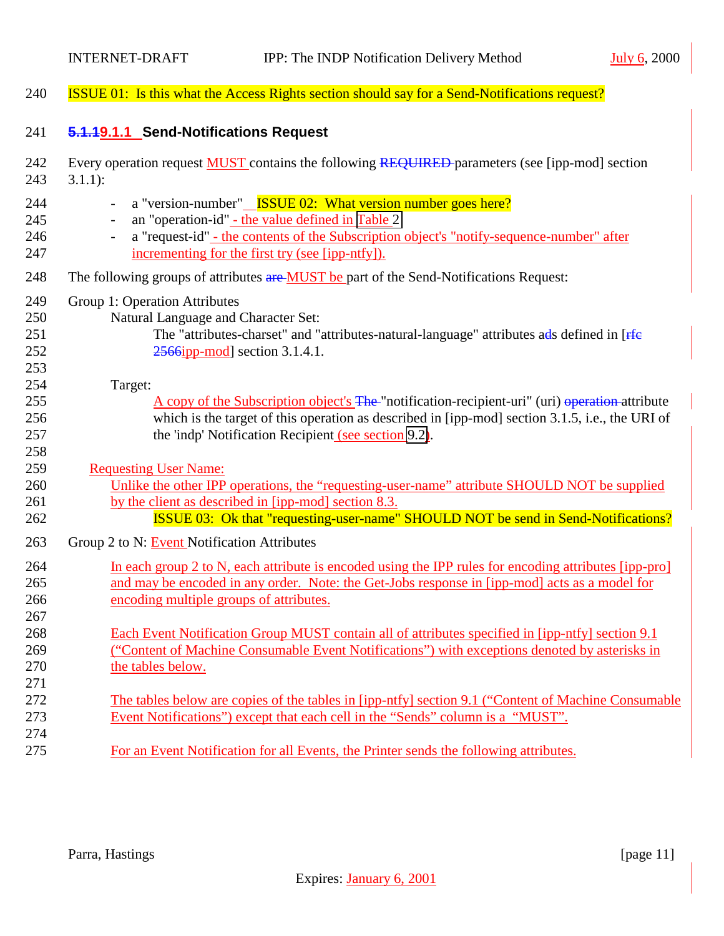<span id="page-10-0"></span>

| 240                             | <b>ISSUE 01:</b> Is this what the Access Rights section should say for a Send-Notifications request?                                                                                                                                                                                                                                                                                                                      |
|---------------------------------|---------------------------------------------------------------------------------------------------------------------------------------------------------------------------------------------------------------------------------------------------------------------------------------------------------------------------------------------------------------------------------------------------------------------------|
| 241                             | 5.1.19.1.1 Send-Notifications Request                                                                                                                                                                                                                                                                                                                                                                                     |
| 242<br>243                      | Every operation request <b>MUST</b> contains the following REQUIRED parameters (see [ipp-mod] section<br>$3.1.1$ :                                                                                                                                                                                                                                                                                                        |
| 244<br>245<br>246<br>247<br>248 | a "version-number" <u>ISSUE 02: What version number goes here?</u><br>$\overline{\phantom{a}}$<br>an "operation-id" - the value defined in Table 2<br>a "request-id" - the contents of the Subscription object's "notify-sequence-number" after<br>$\overline{\phantom{a}}$<br>incrementing for the first try (see [ipp-ntfy]).<br>The following groups of attributes are MUST be part of the Send-Notifications Request: |
| 249<br>250<br>251<br>252<br>253 | Group 1: Operation Attributes<br>Natural Language and Character Set:<br>The "attributes-charset" and "attributes-natural-language" attributes ads defined in [ <i>Ffe</i> ]<br>$2566$ ipp-mod] section 3.1.4.1.                                                                                                                                                                                                           |
| 254<br>255<br>256<br>257<br>258 | Target:<br>A copy of the Subscription object's The "notification-recipient-uri" (uri) operation-attribute<br>which is the target of this operation as described in [ipp-mod] section 3.1.5, i.e., the URI of<br>the 'indp' Notification Recipient (see section 9.2).                                                                                                                                                      |
| 259<br>260<br>261<br>262        | <b>Requesting User Name:</b><br>Unlike the other IPP operations, the "requesting-user-name" attribute SHOULD NOT be supplied<br>by the client as described in [ipp-mod] section 8.3.<br><b>ISSUE 03:</b> Ok that "requesting-user-name" SHOULD NOT be send in Send-Notifications?                                                                                                                                         |
| 263                             | Group 2 to N: Event Notification Attributes                                                                                                                                                                                                                                                                                                                                                                               |
| 264<br>265<br>266<br>267        | In each group 2 to N, each attribute is encoded using the IPP rules for encoding attributes [ipp-pro]<br>and may be encoded in any order. Note: the Get-Jobs response in [ipp-mod] acts as a model for<br>encoding multiple groups of attributes.                                                                                                                                                                         |
| 268<br>269<br>270<br>271        | Each Event Notification Group MUST contain all of attributes specified in [ipp-ntfy] section 9.1<br>("Content of Machine Consumable Event Notifications") with exceptions denoted by asterisks in<br>the tables below.                                                                                                                                                                                                    |
| 272<br>273<br>274               | The tables below are copies of the tables in [ipp-ntfy] section 9.1 ("Content of Machine Consumable<br>Event Notifications") except that each cell in the "Sends" column is a "MUST".                                                                                                                                                                                                                                     |
| 275                             | For an Event Notification for all Events, the Printer sends the following attributes.                                                                                                                                                                                                                                                                                                                                     |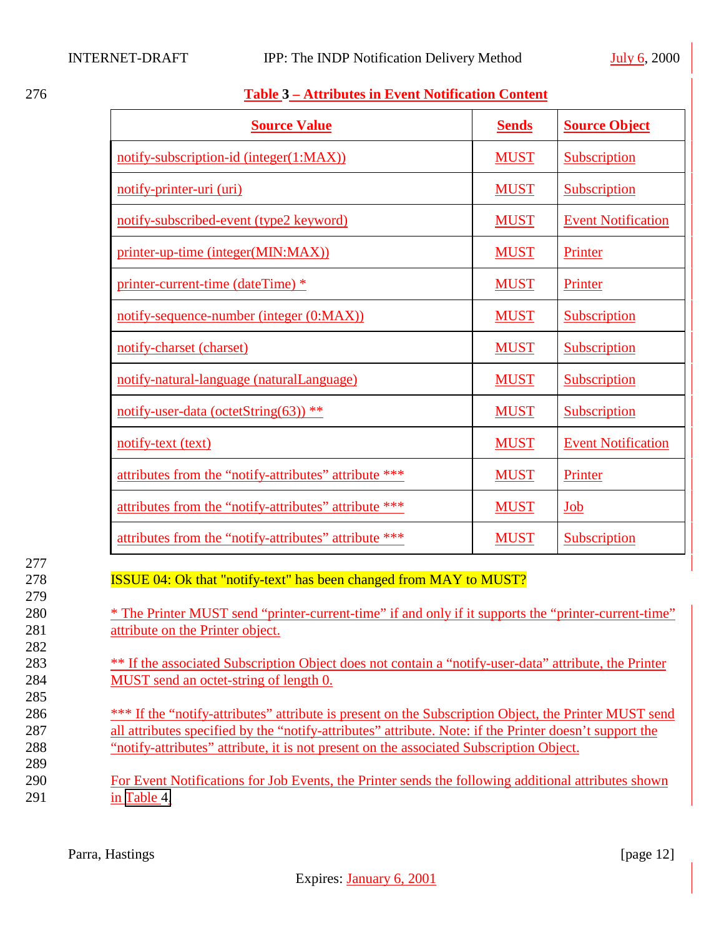277

279

282

285

289

<span id="page-11-0"></span>

| 276 | <b>Table 3 – Attributes in Event Notification Content</b> |  |
|-----|-----------------------------------------------------------|--|
|     |                                                           |  |

| <b>Source Value</b>                                                                                                                                                                                                   | <b>Sends</b> | <b>Source Object</b>      |
|-----------------------------------------------------------------------------------------------------------------------------------------------------------------------------------------------------------------------|--------------|---------------------------|
| notify-subscription-id (integer(1:MAX))                                                                                                                                                                               | <b>MUST</b>  | Subscription              |
| notify-printer-uri (uri)                                                                                                                                                                                              | <b>MUST</b>  | Subscription              |
| notify-subscribed-event (type2 keyword)                                                                                                                                                                               | <b>MUST</b>  | <b>Event Notification</b> |
| printer-up-time (integer(MIN:MAX))                                                                                                                                                                                    | <b>MUST</b>  | Printer                   |
| printer-current-time (dateTime) *                                                                                                                                                                                     | <b>MUST</b>  | Printer                   |
| notify-sequence-number (integer (0:MAX))                                                                                                                                                                              | <b>MUST</b>  | Subscription              |
| notify-charset (charset)                                                                                                                                                                                              | <b>MUST</b>  | Subscription              |
| notify-natural-language (naturalLanguage)                                                                                                                                                                             | <b>MUST</b>  | Subscription              |
| notify-user-data (octetString(63)) **                                                                                                                                                                                 | <b>MUST</b>  | Subscription              |
| notify-text (text)                                                                                                                                                                                                    | <b>MUST</b>  | <b>Event Notification</b> |
| attributes from the "notify-attributes" attribute ***                                                                                                                                                                 | <b>MUST</b>  | Printer                   |
| attributes from the "notify-attributes" attribute ***                                                                                                                                                                 | <b>MUST</b>  | Job                       |
| attributes from the "notify-attributes" attribute ***                                                                                                                                                                 | <b>MUST</b>  | Subscription              |
| <b>ISSUE 04: Ok that "notify-text" has been changed from MAY to MUST?</b><br>* The Printer MUST send "printer-current-time" if and only if it supports the "printer-current-time"<br>attribute on the Printer object. |              |                           |

283 \*\* If the associated Subscription Object does not contain a "notify-user-data" attribute, the Printer 284 MUST send an octet-string of length 0.

<sup>\*\*\*</sup> If the "notify-attributes" attribute is present on the Subscription Object, the Printer MUST send 287 all attributes specified by the "notify-attributes" attribute. Note: if the Printer doesn't support the 288 "notify-attributes" attribute, it is not present on the associated Subscription Object.

290 For Event Notifications for Job Events, the Printer sends the following additional attributes shown 291 in [Table 4.](#page-12-0)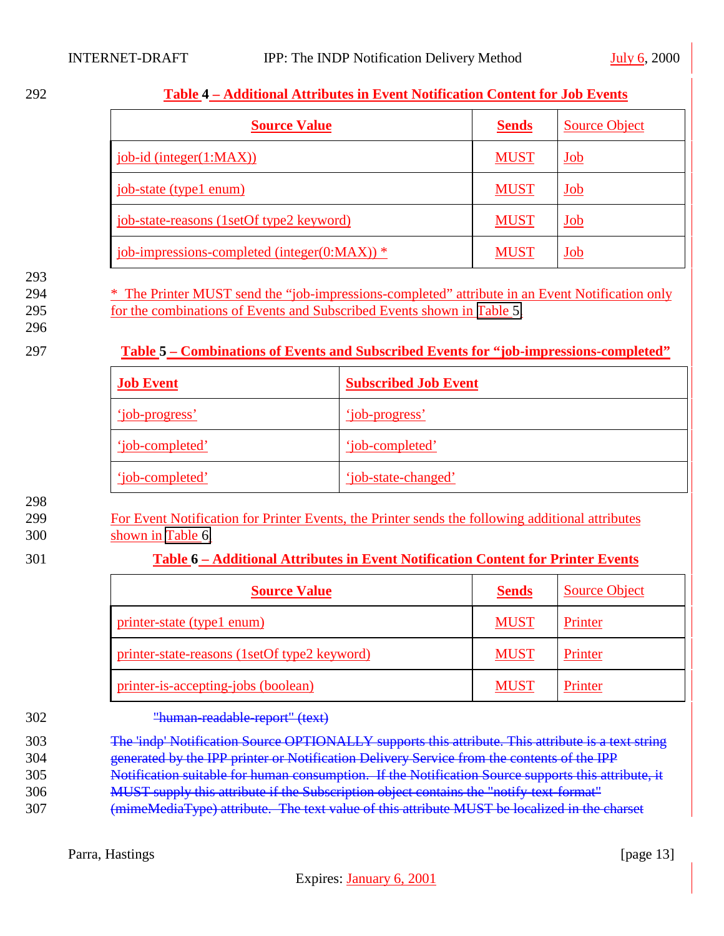#### <span id="page-12-0"></span>292 **Table 4 – Additional Attributes in Event Notification Content for Job Events**

| <b>Source Value</b>                                | <b>Sends</b> | <b>Source Object</b>     |
|----------------------------------------------------|--------------|--------------------------|
| job-id (integer(1:MAX))                            | <b>MUST</b>  | Job                      |
| job-state (type1 enum)                             | <b>MUST</b>  | Job                      |
| job-state-reasons (1setOf type2 keyword)           | <b>MUST</b>  | <u>Job</u>               |
| job-impressions-completed (integer( $0$ :MAX)) $*$ | <b>MUST</b>  | $\underline{\text{Job}}$ |

#### 293

294 \* The Printer MUST send the "job-impressions-completed" attribute in an Event Notification only

295 for the combinations of Events and Subscribed Events shown in Table 5.

296

#### 297 **Table 5 – Combinations of Events and Subscribed Events for "job-impressions-completed"**

| <b>Job Event</b> | <b>Subscribed Job Event</b> |
|------------------|-----------------------------|
| 'iob-progress'   | 'job-progress'              |
| 'iob-completed'  | 'job-completed'             |
| 'iob-completed'  | 'iob-state-changed'         |

#### 298

299 For Event Notification for Printer Events, the Printer sends the following additional attributes

300 shown in Table 6.

### 301 **Table 6 – Additional Attributes in Event Notification Content for Printer Events**

| <b>Source Value</b>                          | <b>Sends</b> | <b>Source Object</b> |
|----------------------------------------------|--------------|----------------------|
| printer-state (type1 enum)                   | <b>MUST</b>  | Printer              |
| printer-state-reasons (1setOf type2 keyword) | <b>MUST</b>  | Printer              |
| printer-is-accepting-jobs (boolean)          | <b>MUST</b>  | Printer              |

#### 302 "human-readable-report" (text)

303 The 'indp' Notification Source OPTIONALLY supports this attribute. This attribute is a text string

- 304 generated by the IPP printer or Notification Delivery Service from the contents of the IPP
- 305 Notification suitable for human consumption. If the Notification Source supports this attribute, it
- 306 MUST supply this attribute if the Subscription object contains the "notify-text-format"
- 307 (mimeMediaType) attribute. The text value of this attribute MUST be localized in the charset

Parra, Hastings [page 13]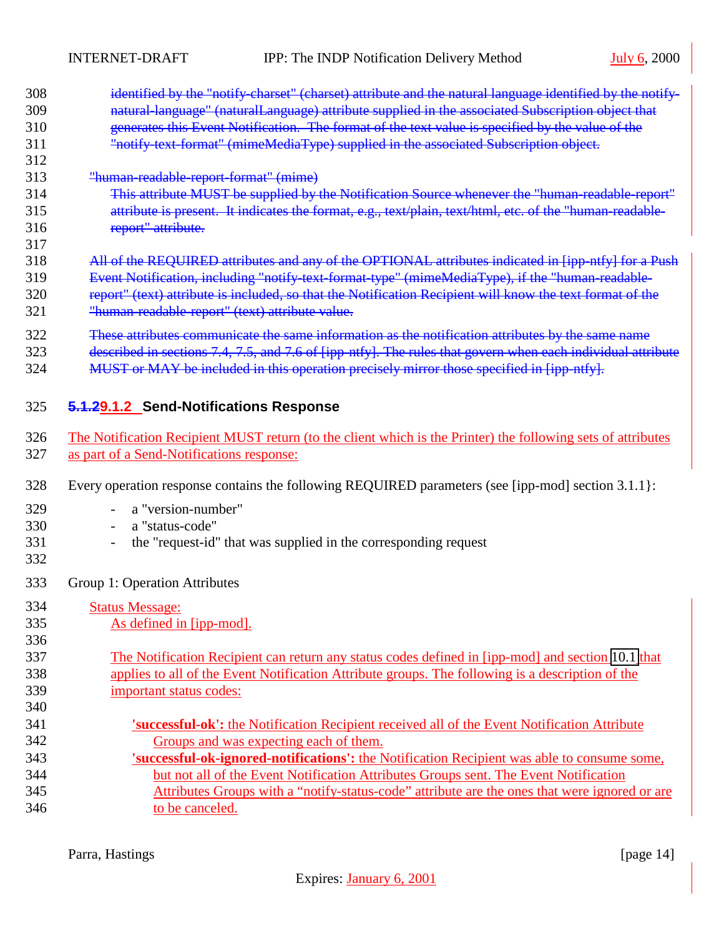<span id="page-13-0"></span>

| 308 | identified by the "notify-charset" (charset) attribute and the natural language identified by the notify-    |
|-----|--------------------------------------------------------------------------------------------------------------|
| 309 | natural-language" (naturalLanguage) attribute supplied in the associated Subscription object that            |
| 310 | generates this Event Notification. The format of the text value is specified by the value of the             |
| 311 | "notify text-format" (mimeMediaType) supplied in the associated Subscription object.                         |
| 312 |                                                                                                              |
| 313 | "human-readable-report-format" (mime)                                                                        |
| 314 | This attribute MUST be supplied by the Notification Source whenever the "human-readable-report"              |
| 315 | attribute is present. It indicates the format, e.g., text/plain, text/html, etc. of the "human-readable-     |
| 316 | report" attribute.                                                                                           |
| 317 |                                                                                                              |
| 318 | All of the REQUIRED attributes and any of the OPTIONAL attributes indicated in [ipp-ntfy] for a Push         |
| 319 | Event Notification, including "notify text format type" (mimeMediaType), if the "human readable-             |
| 320 | report" (text) attribute is included, so that the Notification Recipient will know the text format of the    |
| 321 | "human-readable-report" (text) attribute value.                                                              |
| 322 | These attributes communicate the same information as the notification attributes by the same name            |
| 323 | described in sections 7.4, 7.5, and 7.6 of [ipp-ntfy]. The rules that govern when each individual attribute  |
| 324 | MUST or MAY be included in this operation precisely mirror those specified in [ipp-ntfy].                    |
|     |                                                                                                              |
|     |                                                                                                              |
| 325 | 5.1.29.1.2 Send-Notifications Response                                                                       |
| 326 | The Notification Recipient MUST return (to the client which is the Printer) the following sets of attributes |
| 327 | as part of a Send-Notifications response:                                                                    |
|     |                                                                                                              |
| 328 | Every operation response contains the following REQUIRED parameters (see [ipp-mod] section 3.1.1]:           |
| 329 | a "version-number"                                                                                           |
| 330 | a "status-code"                                                                                              |
| 331 | the "request-id" that was supplied in the corresponding request                                              |
| 332 |                                                                                                              |
|     |                                                                                                              |
| 333 | Group 1: Operation Attributes                                                                                |
| 334 | <b>Status Message:</b>                                                                                       |
| 335 | As defined in [ipp-mod].                                                                                     |
| 336 |                                                                                                              |
| 337 | The Notification Recipient can return any status codes defined in [ipp-mod] and section 10.1 that            |
| 338 | applies to all of the Event Notification Attribute groups. The following is a description of the             |
| 339 | important status codes:                                                                                      |
| 340 |                                                                                                              |
| 341 | 'successful-ok': the Notification Recipient received all of the Event Notification Attribute                 |
| 342 | Groups and was expecting each of them.                                                                       |
| 343 | 'successful-ok-ignored-notifications': the Notification Recipient was able to consume some,                  |
| 344 | but not all of the Event Notification Attributes Groups sent. The Event Notification                         |
| 345 | Attributes Groups with a "notify-status-code" attribute are the ones that were ignored or are                |
| 346 | to be canceled.                                                                                              |
|     |                                                                                                              |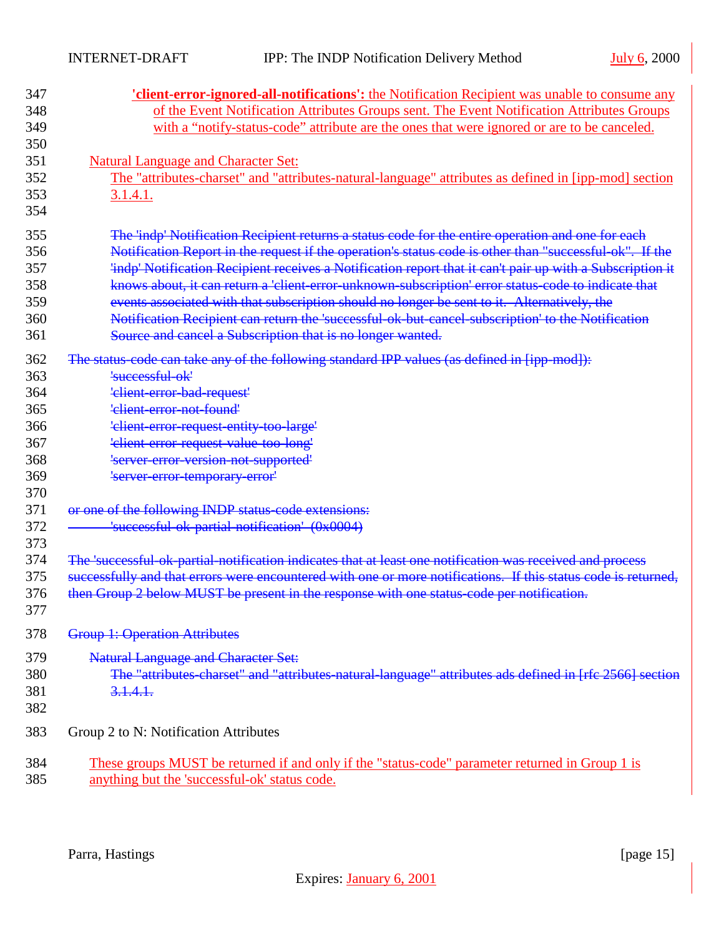| 348<br>with a "notify-status-code" attribute are the ones that were ignored or are to be canceled.<br>349<br>350<br>351<br><b>Natural Language and Character Set:</b><br>352<br>The "attributes-charset" and "attributes-natural-language" attributes as defined in [ipp-mod] section<br>353<br>3.1.4.1.<br>354<br>The 'indp' Notification Recipient returns a status code for the entire operation and one for each<br>355<br>Notification Report in the request if the operation's status code is other than "successful-ok". If the<br>356<br>'indp' Notification Recipient receives a Notification report that it can't pair up with a Subscription it<br>357<br>knows about, it can return a 'client-error-unknown-subscription' error status-code to indicate that<br>358<br>events associated with that subscription should no longer be sent to it. Alternatively, the<br>359<br>Notification Recipient can return the 'successful-ok-but-cancel-subscription' to the Notification<br>360<br>Source and cancel a Subscription that is no longer wanted.<br>361<br>The status code can take any of the following standard IPP values (as defined in [ipp mod]):<br>362<br>'successful-ok'<br>363<br>'elient-error-bad-request'<br>364<br>365<br>'elient-error-not-found'<br>'elient error request entity too large'<br>366<br>'client-error-request-value-too-long'<br>367<br>'server-error-version-not-supported'<br>368<br>369<br>'server error temporary error'<br>370<br>or one of the following INDP status-code extensions:<br>371<br>372<br>'successful-ok-partial-notification' (0x0004)<br>373<br>The 'successful ok partial notification indicates that at least one notification was received and process<br>374<br>successfully and that errors were encountered with one or more notifications. If this status code is returned,<br>375 | 347 | <b>'client-error-ignored-all-notifications':</b> the Notification Recipient was unable to consume any   |
|-------------------------------------------------------------------------------------------------------------------------------------------------------------------------------------------------------------------------------------------------------------------------------------------------------------------------------------------------------------------------------------------------------------------------------------------------------------------------------------------------------------------------------------------------------------------------------------------------------------------------------------------------------------------------------------------------------------------------------------------------------------------------------------------------------------------------------------------------------------------------------------------------------------------------------------------------------------------------------------------------------------------------------------------------------------------------------------------------------------------------------------------------------------------------------------------------------------------------------------------------------------------------------------------------------------------------------------------------------------------------------------------------------------------------------------------------------------------------------------------------------------------------------------------------------------------------------------------------------------------------------------------------------------------------------------------------------------------------------------------------------------------------------------------------------------------------------------------------------------|-----|---------------------------------------------------------------------------------------------------------|
|                                                                                                                                                                                                                                                                                                                                                                                                                                                                                                                                                                                                                                                                                                                                                                                                                                                                                                                                                                                                                                                                                                                                                                                                                                                                                                                                                                                                                                                                                                                                                                                                                                                                                                                                                                                                                                                             |     | of the Event Notification Attributes Groups sent. The Event Notification Attributes Groups              |
|                                                                                                                                                                                                                                                                                                                                                                                                                                                                                                                                                                                                                                                                                                                                                                                                                                                                                                                                                                                                                                                                                                                                                                                                                                                                                                                                                                                                                                                                                                                                                                                                                                                                                                                                                                                                                                                             |     |                                                                                                         |
|                                                                                                                                                                                                                                                                                                                                                                                                                                                                                                                                                                                                                                                                                                                                                                                                                                                                                                                                                                                                                                                                                                                                                                                                                                                                                                                                                                                                                                                                                                                                                                                                                                                                                                                                                                                                                                                             |     |                                                                                                         |
|                                                                                                                                                                                                                                                                                                                                                                                                                                                                                                                                                                                                                                                                                                                                                                                                                                                                                                                                                                                                                                                                                                                                                                                                                                                                                                                                                                                                                                                                                                                                                                                                                                                                                                                                                                                                                                                             |     |                                                                                                         |
|                                                                                                                                                                                                                                                                                                                                                                                                                                                                                                                                                                                                                                                                                                                                                                                                                                                                                                                                                                                                                                                                                                                                                                                                                                                                                                                                                                                                                                                                                                                                                                                                                                                                                                                                                                                                                                                             |     |                                                                                                         |
|                                                                                                                                                                                                                                                                                                                                                                                                                                                                                                                                                                                                                                                                                                                                                                                                                                                                                                                                                                                                                                                                                                                                                                                                                                                                                                                                                                                                                                                                                                                                                                                                                                                                                                                                                                                                                                                             |     |                                                                                                         |
|                                                                                                                                                                                                                                                                                                                                                                                                                                                                                                                                                                                                                                                                                                                                                                                                                                                                                                                                                                                                                                                                                                                                                                                                                                                                                                                                                                                                                                                                                                                                                                                                                                                                                                                                                                                                                                                             |     |                                                                                                         |
|                                                                                                                                                                                                                                                                                                                                                                                                                                                                                                                                                                                                                                                                                                                                                                                                                                                                                                                                                                                                                                                                                                                                                                                                                                                                                                                                                                                                                                                                                                                                                                                                                                                                                                                                                                                                                                                             |     |                                                                                                         |
|                                                                                                                                                                                                                                                                                                                                                                                                                                                                                                                                                                                                                                                                                                                                                                                                                                                                                                                                                                                                                                                                                                                                                                                                                                                                                                                                                                                                                                                                                                                                                                                                                                                                                                                                                                                                                                                             |     |                                                                                                         |
|                                                                                                                                                                                                                                                                                                                                                                                                                                                                                                                                                                                                                                                                                                                                                                                                                                                                                                                                                                                                                                                                                                                                                                                                                                                                                                                                                                                                                                                                                                                                                                                                                                                                                                                                                                                                                                                             |     |                                                                                                         |
|                                                                                                                                                                                                                                                                                                                                                                                                                                                                                                                                                                                                                                                                                                                                                                                                                                                                                                                                                                                                                                                                                                                                                                                                                                                                                                                                                                                                                                                                                                                                                                                                                                                                                                                                                                                                                                                             |     |                                                                                                         |
|                                                                                                                                                                                                                                                                                                                                                                                                                                                                                                                                                                                                                                                                                                                                                                                                                                                                                                                                                                                                                                                                                                                                                                                                                                                                                                                                                                                                                                                                                                                                                                                                                                                                                                                                                                                                                                                             |     |                                                                                                         |
|                                                                                                                                                                                                                                                                                                                                                                                                                                                                                                                                                                                                                                                                                                                                                                                                                                                                                                                                                                                                                                                                                                                                                                                                                                                                                                                                                                                                                                                                                                                                                                                                                                                                                                                                                                                                                                                             |     |                                                                                                         |
|                                                                                                                                                                                                                                                                                                                                                                                                                                                                                                                                                                                                                                                                                                                                                                                                                                                                                                                                                                                                                                                                                                                                                                                                                                                                                                                                                                                                                                                                                                                                                                                                                                                                                                                                                                                                                                                             |     |                                                                                                         |
|                                                                                                                                                                                                                                                                                                                                                                                                                                                                                                                                                                                                                                                                                                                                                                                                                                                                                                                                                                                                                                                                                                                                                                                                                                                                                                                                                                                                                                                                                                                                                                                                                                                                                                                                                                                                                                                             |     |                                                                                                         |
|                                                                                                                                                                                                                                                                                                                                                                                                                                                                                                                                                                                                                                                                                                                                                                                                                                                                                                                                                                                                                                                                                                                                                                                                                                                                                                                                                                                                                                                                                                                                                                                                                                                                                                                                                                                                                                                             |     |                                                                                                         |
|                                                                                                                                                                                                                                                                                                                                                                                                                                                                                                                                                                                                                                                                                                                                                                                                                                                                                                                                                                                                                                                                                                                                                                                                                                                                                                                                                                                                                                                                                                                                                                                                                                                                                                                                                                                                                                                             |     |                                                                                                         |
|                                                                                                                                                                                                                                                                                                                                                                                                                                                                                                                                                                                                                                                                                                                                                                                                                                                                                                                                                                                                                                                                                                                                                                                                                                                                                                                                                                                                                                                                                                                                                                                                                                                                                                                                                                                                                                                             |     |                                                                                                         |
|                                                                                                                                                                                                                                                                                                                                                                                                                                                                                                                                                                                                                                                                                                                                                                                                                                                                                                                                                                                                                                                                                                                                                                                                                                                                                                                                                                                                                                                                                                                                                                                                                                                                                                                                                                                                                                                             |     |                                                                                                         |
|                                                                                                                                                                                                                                                                                                                                                                                                                                                                                                                                                                                                                                                                                                                                                                                                                                                                                                                                                                                                                                                                                                                                                                                                                                                                                                                                                                                                                                                                                                                                                                                                                                                                                                                                                                                                                                                             |     |                                                                                                         |
|                                                                                                                                                                                                                                                                                                                                                                                                                                                                                                                                                                                                                                                                                                                                                                                                                                                                                                                                                                                                                                                                                                                                                                                                                                                                                                                                                                                                                                                                                                                                                                                                                                                                                                                                                                                                                                                             |     |                                                                                                         |
|                                                                                                                                                                                                                                                                                                                                                                                                                                                                                                                                                                                                                                                                                                                                                                                                                                                                                                                                                                                                                                                                                                                                                                                                                                                                                                                                                                                                                                                                                                                                                                                                                                                                                                                                                                                                                                                             |     |                                                                                                         |
|                                                                                                                                                                                                                                                                                                                                                                                                                                                                                                                                                                                                                                                                                                                                                                                                                                                                                                                                                                                                                                                                                                                                                                                                                                                                                                                                                                                                                                                                                                                                                                                                                                                                                                                                                                                                                                                             |     |                                                                                                         |
|                                                                                                                                                                                                                                                                                                                                                                                                                                                                                                                                                                                                                                                                                                                                                                                                                                                                                                                                                                                                                                                                                                                                                                                                                                                                                                                                                                                                                                                                                                                                                                                                                                                                                                                                                                                                                                                             |     |                                                                                                         |
|                                                                                                                                                                                                                                                                                                                                                                                                                                                                                                                                                                                                                                                                                                                                                                                                                                                                                                                                                                                                                                                                                                                                                                                                                                                                                                                                                                                                                                                                                                                                                                                                                                                                                                                                                                                                                                                             |     |                                                                                                         |
|                                                                                                                                                                                                                                                                                                                                                                                                                                                                                                                                                                                                                                                                                                                                                                                                                                                                                                                                                                                                                                                                                                                                                                                                                                                                                                                                                                                                                                                                                                                                                                                                                                                                                                                                                                                                                                                             |     |                                                                                                         |
|                                                                                                                                                                                                                                                                                                                                                                                                                                                                                                                                                                                                                                                                                                                                                                                                                                                                                                                                                                                                                                                                                                                                                                                                                                                                                                                                                                                                                                                                                                                                                                                                                                                                                                                                                                                                                                                             |     |                                                                                                         |
|                                                                                                                                                                                                                                                                                                                                                                                                                                                                                                                                                                                                                                                                                                                                                                                                                                                                                                                                                                                                                                                                                                                                                                                                                                                                                                                                                                                                                                                                                                                                                                                                                                                                                                                                                                                                                                                             |     |                                                                                                         |
|                                                                                                                                                                                                                                                                                                                                                                                                                                                                                                                                                                                                                                                                                                                                                                                                                                                                                                                                                                                                                                                                                                                                                                                                                                                                                                                                                                                                                                                                                                                                                                                                                                                                                                                                                                                                                                                             |     |                                                                                                         |
| then Group 2 below MUST be present in the response with one status-code per notification.<br>376                                                                                                                                                                                                                                                                                                                                                                                                                                                                                                                                                                                                                                                                                                                                                                                                                                                                                                                                                                                                                                                                                                                                                                                                                                                                                                                                                                                                                                                                                                                                                                                                                                                                                                                                                            |     |                                                                                                         |
| 377                                                                                                                                                                                                                                                                                                                                                                                                                                                                                                                                                                                                                                                                                                                                                                                                                                                                                                                                                                                                                                                                                                                                                                                                                                                                                                                                                                                                                                                                                                                                                                                                                                                                                                                                                                                                                                                         |     |                                                                                                         |
| <b>Group 1: Operation Attributes</b><br>378                                                                                                                                                                                                                                                                                                                                                                                                                                                                                                                                                                                                                                                                                                                                                                                                                                                                                                                                                                                                                                                                                                                                                                                                                                                                                                                                                                                                                                                                                                                                                                                                                                                                                                                                                                                                                 |     |                                                                                                         |
| <b>Natural Language and Character Set:</b><br>379                                                                                                                                                                                                                                                                                                                                                                                                                                                                                                                                                                                                                                                                                                                                                                                                                                                                                                                                                                                                                                                                                                                                                                                                                                                                                                                                                                                                                                                                                                                                                                                                                                                                                                                                                                                                           |     |                                                                                                         |
| 380                                                                                                                                                                                                                                                                                                                                                                                                                                                                                                                                                                                                                                                                                                                                                                                                                                                                                                                                                                                                                                                                                                                                                                                                                                                                                                                                                                                                                                                                                                                                                                                                                                                                                                                                                                                                                                                         |     | The "attributes-charset" and "attributes-natural-language" attributes ads defined in [rfc 2566] section |
| 381<br>3.1.4.1.                                                                                                                                                                                                                                                                                                                                                                                                                                                                                                                                                                                                                                                                                                                                                                                                                                                                                                                                                                                                                                                                                                                                                                                                                                                                                                                                                                                                                                                                                                                                                                                                                                                                                                                                                                                                                                             |     |                                                                                                         |
| 382                                                                                                                                                                                                                                                                                                                                                                                                                                                                                                                                                                                                                                                                                                                                                                                                                                                                                                                                                                                                                                                                                                                                                                                                                                                                                                                                                                                                                                                                                                                                                                                                                                                                                                                                                                                                                                                         |     |                                                                                                         |
|                                                                                                                                                                                                                                                                                                                                                                                                                                                                                                                                                                                                                                                                                                                                                                                                                                                                                                                                                                                                                                                                                                                                                                                                                                                                                                                                                                                                                                                                                                                                                                                                                                                                                                                                                                                                                                                             |     |                                                                                                         |
| 383<br>Group 2 to N: Notification Attributes                                                                                                                                                                                                                                                                                                                                                                                                                                                                                                                                                                                                                                                                                                                                                                                                                                                                                                                                                                                                                                                                                                                                                                                                                                                                                                                                                                                                                                                                                                                                                                                                                                                                                                                                                                                                                |     |                                                                                                         |
| 384<br><u>These groups MUST be returned if and only if the "status-code" parameter returned in Group 1 is</u>                                                                                                                                                                                                                                                                                                                                                                                                                                                                                                                                                                                                                                                                                                                                                                                                                                                                                                                                                                                                                                                                                                                                                                                                                                                                                                                                                                                                                                                                                                                                                                                                                                                                                                                                               |     |                                                                                                         |
| 385<br>anything but the 'successful-ok' status code.                                                                                                                                                                                                                                                                                                                                                                                                                                                                                                                                                                                                                                                                                                                                                                                                                                                                                                                                                                                                                                                                                                                                                                                                                                                                                                                                                                                                                                                                                                                                                                                                                                                                                                                                                                                                        |     |                                                                                                         |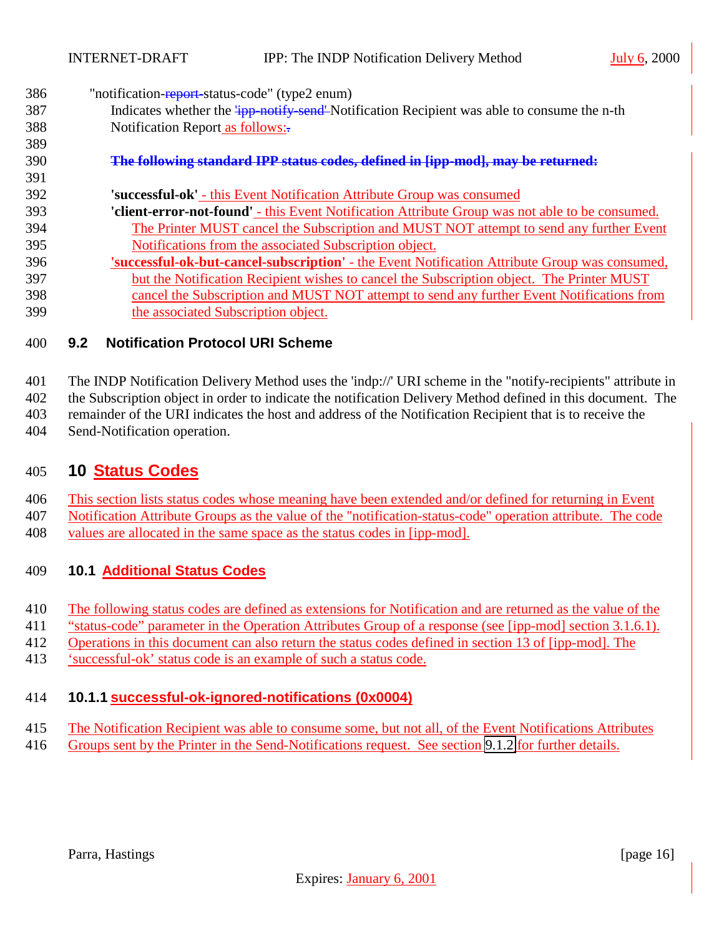- <span id="page-15-0"></span>386 "notification-report-status-code" (type2 enum)
- 387 Indicates whether the  $\frac{1}{1}$ pp-notify-send<sup>-</sup>Notification Recipient was able to consume the n-th 388 Notification Report as follows:

#### **The following standard IPP status codes, defined in [ipp-mod], may be returned:**

- **'successful-ok'** this Event Notification Attribute Group was consumed
- **'client-error-not-found'** this Event Notification Attribute Group was not able to be consumed. The Printer MUST cancel the Subscription and MUST NOT attempt to send any further Event Notifications from the associated Subscription object.
- **'successful-ok-but-cancel-subscription'** the Event Notification Attribute Group was consumed, but the Notification Recipient wishes to cancel the Subscription object. The Printer MUST cancel the Subscription and MUST NOT attempt to send any further Event Notifications from the associated Subscription object.

#### **9.2 Notification Protocol URI Scheme**

The INDP Notification Delivery Method uses the 'indp://' URI scheme in the "notify-recipients" attribute in

the Subscription object in order to indicate the notification Delivery Method defined in this document. The

remainder of the URI indicates the host and address of the Notification Recipient that is to receive the

Send-Notification operation.

## **10 Status Codes**

This section lists status codes whose meaning have been extended and/or defined for returning in Event

Notification Attribute Groups as the value of the "notification-status-code" operation attribute. The code

values are allocated in the same space as the status codes in [ipp-mod].

### **10.1 Additional Status Codes**

- The following status codes are defined as extensions for Notification and are returned as the value of the
- "status-code" parameter in the Operation Attributes Group of a response (see [ipp-mod] section 3.1.6.1).
- Operations in this document can also return the status codes defined in section 13 of [ipp-mod]. The
- 'successful-ok' status code is an example of such a status code.

### **10.1.1 successful-ok-ignored-notifications (0x0004)**

- The Notification Recipient was able to consume some, but not all, of the Event Notifications Attributes
- Groups sent by the Printer in the Send-Notifications request. See section [9.1.2](#page-13-0) for further details.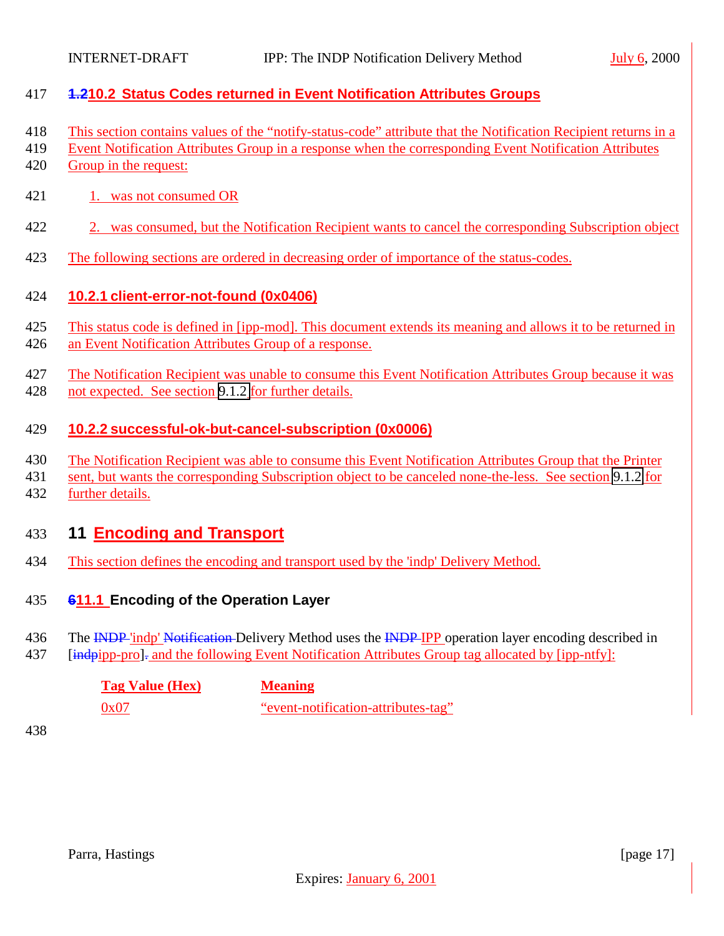<span id="page-16-0"></span>

### **1.210.2 Status Codes returned in Event Notification Attributes Groups**

- This section contains values of the "notify-status-code" attribute that the Notification Recipient returns in a
- Event Notification Attributes Group in a response when the corresponding Event Notification Attributes
- Group in the request:
- 1. was not consumed OR
- 2. was consumed, but the Notification Recipient wants to cancel the corresponding Subscription object
- The following sections are ordered in decreasing order of importance of the status-codes.

### **10.2.1 client-error-not-found (0x0406)**

- This status code is defined in [ipp-mod]. This document extends its meaning and allows it to be returned in
- an Event Notification Attributes Group of a response.
- The Notification Recipient was unable to consume this Event Notification Attributes Group because it was not expected. See section [9.1.2](#page-13-0) for further details.

### **10.2.2 successful-ok-but-cancel-subscription (0x0006)**

- The Notification Recipient was able to consume this Event Notification Attributes Group that the Printer
- sent, but wants the corresponding Subscription object to be canceled none-the-less. See section [9.1.2](#page-13-0) for
- further details.

# **11 Encoding and Transport**

This section defines the encoding and transport used by the 'indp' Delivery Method.

### **611.1 Encoding of the Operation Layer**

- 436 The INDP 'indp' Notification-Delivery Method uses the INDP IPP operation layer encoding described in
- 437 [indpipp-pro]. and the following Event Notification Attributes Group tag allocated by [ipp-ntfy]:

| <b>Tag Value (Hex)</b> | <b>Meaning</b>                      |
|------------------------|-------------------------------------|
| 0x07                   | "event-notification-attributes-tag" |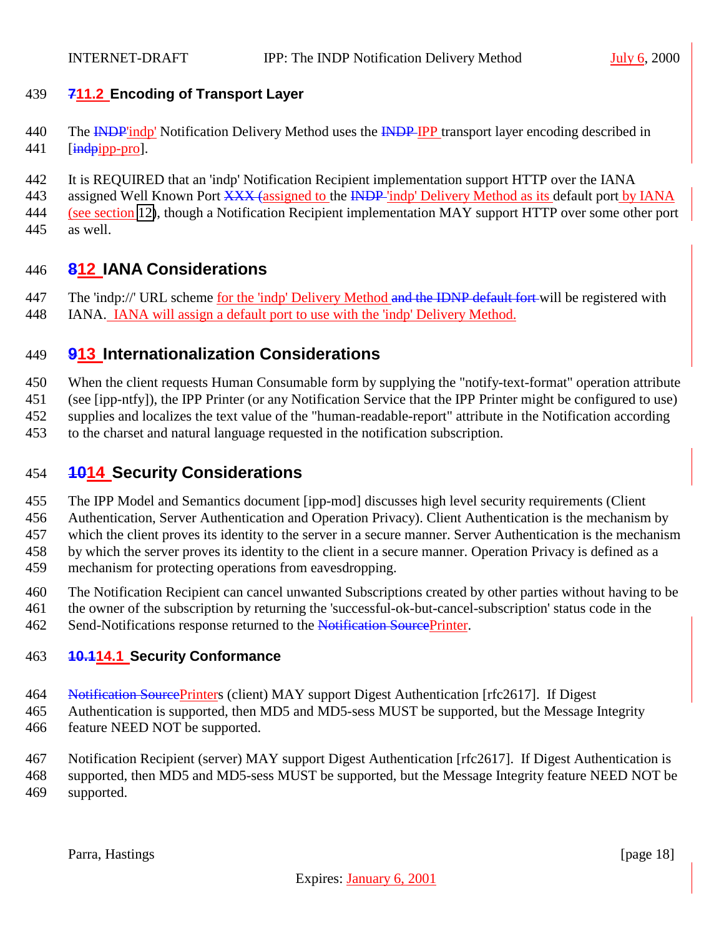### <span id="page-17-0"></span>**711.2 Encoding of Transport Layer**

- 440 The **INDP**'indp' Notification Delivery Method uses the **INDP IPP** transport layer encoding described in 441 [indpipp-pro].
- It is REQUIRED that an 'indp' Notification Recipient implementation support HTTP over the IANA
- 443 assigned Well Known Port XXX (assigned to the INDP 'indp' Delivery Method as its default port by IANA
- 444 (see section 12), though a Notification Recipient implementation MAY support HTTP over some other port
- as well.

## **812 IANA Considerations**

- 447 The 'indp://' URL scheme for the 'indp' Delivery Method and the IDNP default fort-will be registered with
- IANA. IANA will assign a default port to use with the 'indp' Delivery Method.

## **913 Internationalization Considerations**

- When the client requests Human Consumable form by supplying the "notify-text-format" operation attribute
- (see [ipp-ntfy]), the IPP Printer (or any Notification Service that the IPP Printer might be configured to use)
- supplies and localizes the text value of the "human-readable-report" attribute in the Notification according
- to the charset and natural language requested in the notification subscription.

## **1014 Security Considerations**

- The IPP Model and Semantics document [ipp-mod] discusses high level security requirements (Client
- Authentication, Server Authentication and Operation Privacy). Client Authentication is the mechanism by
- which the client proves its identity to the server in a secure manner. Server Authentication is the mechanism
- by which the server proves its identity to the client in a secure manner. Operation Privacy is defined as a
- mechanism for protecting operations from eavesdropping.
- The Notification Recipient can cancel unwanted Subscriptions created by other parties without having to be
- the owner of the subscription by returning the 'successful-ok-but-cancel-subscription' status code in the
- Send-Notifications response returned to the Notification SourcePrinter.

# **10.114.1 Security Conformance**

- 464 Notification SourcePrinters (client) MAY support Digest Authentication [rfc2617]. If Digest
- Authentication is supported, then MD5 and MD5-sess MUST be supported, but the Message Integrity
- feature NEED NOT be supported.

 Notification Recipient (server) MAY support Digest Authentication [rfc2617]. If Digest Authentication is supported, then MD5 and MD5-sess MUST be supported, but the Message Integrity feature NEED NOT be

supported.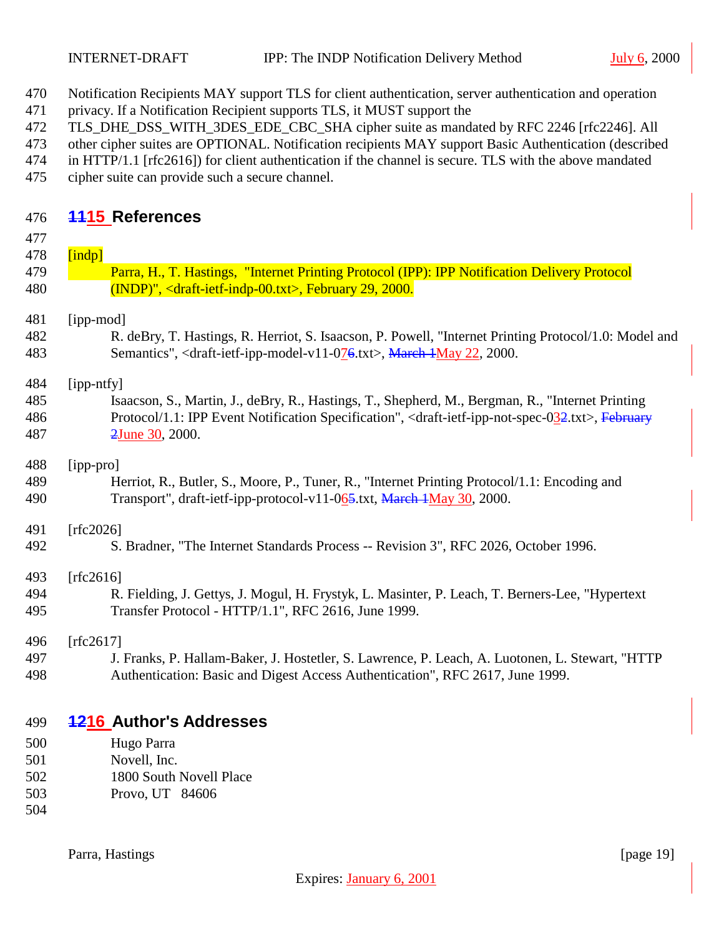- <span id="page-18-0"></span>Notification Recipients MAY support TLS for client authentication, server authentication and operation
- privacy. If a Notification Recipient supports TLS, it MUST support the
- 472 TLS DHE DSS WITH 3DES EDE CBC SHA cipher suite as mandated by RFC 2246 [rfc2246]. All
- other cipher suites are OPTIONAL. Notification recipients MAY support Basic Authentication (described
- in HTTP/1.1 [rfc2616]) for client authentication if the channel is secure. TLS with the above mandated
- cipher suite can provide such a secure channel.

# **1115 References**

| 477 |      |
|-----|------|
| 478 | Indr |

 Parra, H., T. Hastings, "Internet Printing Protocol (IPP): IPP Notification Delivery Protocol (INDP)", <draft-ietf-indp-00.txt>, February 29, 2000.

## [ipp-mod]

 R. deBry, T. Hastings, R. Herriot, S. Isaacson, P. Powell, "Internet Printing Protocol/1.0: Model and 483 Semantics", <draft-ietf-ipp-model-v11-076.txt>, March 1May 22, 2000.

[ipp-ntfy]

 Isaacson, S., Martin, J., deBry, R., Hastings, T., Shepherd, M., Bergman, R., "Internet Printing 486 Protocol/1.1: IPP Event Notification Specification", <draft-ietf-ipp-not-spec-032.txt>, February 2June 30, 2000.

[ipp-pro]

 Herriot, R., Butler, S., Moore, P., Tuner, R., "Internet Printing Protocol/1.1: Encoding and 490 Transport", draft-ietf-ipp-protocol-v11-065.txt, March 1May 30, 2000.

[rfc2026]

S. Bradner, "The Internet Standards Process -- Revision 3", RFC 2026, October 1996.

[rfc2616]

 R. Fielding, J. Gettys, J. Mogul, H. Frystyk, L. Masinter, P. Leach, T. Berners-Lee, "Hypertext Transfer Protocol - HTTP/1.1", RFC 2616, June 1999.

[rfc2617]

 J. Franks, P. Hallam-Baker, J. Hostetler, S. Lawrence, P. Leach, A. Luotonen, L. Stewart, "HTTP Authentication: Basic and Digest Access Authentication", RFC 2617, June 1999.

# **1216 Author's Addresses**

- Hugo Parra
- Novell, Inc.
- 1800 South Novell Place
- Provo, UT 84606
- 

Parra, Hastings [page 19]